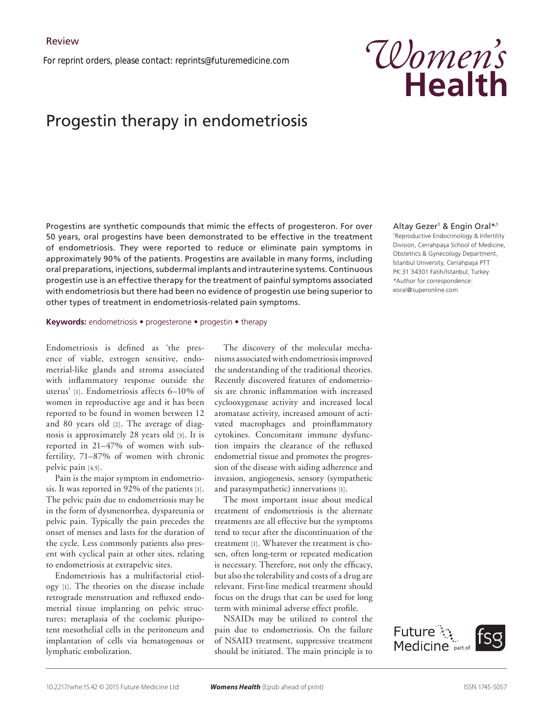*For reprint orders, please contact: reprints@futuremedicine.com*

# Progestin therapy in endometriosis

Progestins are synthetic compounds that mimic the effects of progesteron. For over 50 years, oral progestins have been demonstrated to be effective in the treatment of endometriosis. They were reported to reduce or eliminate pain symptoms in approximately 90% of the patients. Progestins are available in many forms, including oral preparations, injections, subdermal implants and intrauterine systems. Continuous progestin use is an effective therapy for the treatment of painful symptoms associated with endometriosis but there had been no evidence of progestin use being superior to other types of treatment in endometriosis-related pain symptoms.

#### **Keywords:** endometriosis • progesterone • progestin • therapy

Endometriosis is defined as 'the presence of viable, estrogen sensitive, endometrial-like glands and stroma associated with inflammatory response outside the uterus' [1]. Endometriosis affects 6–10% of women in reproductive age and it has been reported to be found in women between 12 and 80 years old [2]. The average of diagnosis is approximately 28 years old [3]. It is reported in 21–47% of women with subfertility, 71–87% of women with chronic pelvic pain [4,5].

Pain is the major symptom in endometriosis. It was reported in 92% of the patients [1]. The pelvic pain due to endometriosis may be in the form of dysmenorrhea, dyspareunia or pelvic pain*.* Typically the pain precedes the onset of menses and lasts for the duration of the cycle. Less commonly patients also present with cyclical pain at other sites, relating to endometriosis at extrapelvic sites.

Endometriosis has a multifactorial etiology [1]. The theories on the disease include retrograde menstruation and refluxed endometrial tissue implanting on pelvic structures; metaplasia of the coelomic pluripotent mesothelial cells in the peritoneum and implantation of cells via hematogenous or lymphatic embolization.

The discovery of the molecular mechanisms associated with endometriosis improved the understanding of the traditional theories. Recently discovered features of endometriosis are chronic inflammation with increased cyclooxygenase activity and increased local aromatase activity, increased amount of activated macrophages and proinflammatory cytokines. Concomitant immune dysfunction impairs the clearance of the refluxed endometrial tissue and promotes the progression of the disease with aiding adherence and invasion, angiogenesis, sensory (sympathetic and parasympathetic) innervations [1].

The most important issue about medical treatment of endometriosis is the alternate treatments are all effective but the symptoms tend to recur after the discontinuation of the treatment [1]. Whatever the treatment is chosen, often long-term or repeated medication is necessary. Therefore, not only the efficacy, but also the tolerability and costs of a drug are relevant. First-line medical treatment should focus on the drugs that can be used for long term with minimal adverse effect profile.

NSAIDs may be utilized to control the pain due to endometriosis. On the failure of NSAID treatment, suppressive treatment should be initiated. The main principle is to

# Altay Gezer1 & Engin Oral\*,1

1 Reproductive Endocrinology & Infertility Division, Cerrahpaşa School of Medicine, Obstetrics & Gynecology Department, İstanbul University, Cerrahpaşa PTT PK:31 34301 Fatih/İstanbul, Turkey \*Author for correspondence: eoral@superonline.com



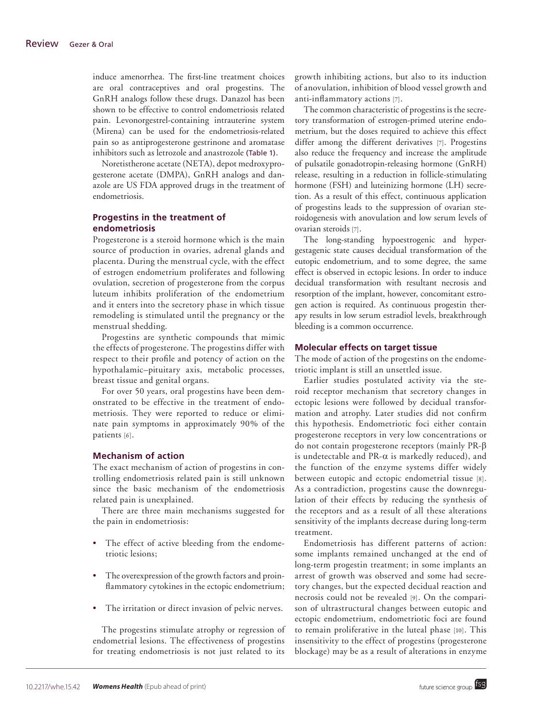induce amenorrhea. The first-line treatment choices are oral contraceptives and oral progestins. The GnRH analogs follow these drugs. Danazol has been shown to be effective to control endometriosis related pain. Levonorgestrel-containing intrauterine system (Mirena) can be used for the endometriosis-related pain so as antiprogesterone gestrinone and aromatase inhibitors such as letrozole and anastrozole (Table 1).

Noretistherone acetate (NETA), depot medroxyprogesterone acetate (DMPA), GnRH analogs and danazole are US FDA approved drugs in the treatment of endometriosis.

# **Progestins in the treatment of endometriosis**

Progesterone is a steroid hormone which is the main source of production in ovaries, adrenal glands and placenta. During the menstrual cycle, with the effect of estrogen endometrium proliferates and following ovulation, secretion of progesterone from the corpus luteum inhibits proliferation of the endometrium and it enters into the secretory phase in which tissue remodeling is stimulated until the pregnancy or the menstrual shedding.

Progestins are synthetic compounds that mimic the effects of progesterone. The progestins differ with respect to their profile and potency of action on the hypothalamic–pituitary axis, metabolic processes, breast tissue and genital organs.

For over 50 years, oral progestins have been demonstrated to be effective in the treatment of endometriosis. They were reported to reduce or eliminate pain symptoms in approximately 90% of the patients [6].

#### **Mechanism of action**

The exact mechanism of action of progestins in controlling endometriosis related pain is still unknown since the basic mechanism of the endometriosis related pain is unexplained.

There are three main mechanisms suggested for the pain in endometriosis:

- The effect of active bleeding from the endometriotic lesions;
- The overexpression of the growth factors and proinflammatory cytokines in the ectopic endometrium;
- The irritation or direct invasion of pelvic nerves.

The progestins stimulate atrophy or regression of endometrial lesions. The effectiveness of progestins for treating endometriosis is not just related to its

growth inhibiting actions, but also to its induction of anovulation, inhibition of blood vessel growth and anti-inflammatory actions [7].

The common characteristic of progestins is the secretory transformation of estrogen-primed uterine endometrium, but the doses required to achieve this effect differ among the different derivatives [7]. Progestins also reduce the frequency and increase the amplitude of pulsatile gonadotropin-releasing hormone (GnRH) release, resulting in a reduction in follicle-stimulating hormone (FSH) and luteinizing hormone (LH) secretion. As a result of this effect, continuous application of progestins leads to the suppression of ovarian steroidogenesis with anovulation and low serum levels of ovarian steroids [7].

The long-standing hypoestrogenic and hypergestagenic state causes decidual transformation of the eutopic endometrium, and to some degree, the same effect is observed in ectopic lesions. In order to induce decidual transformation with resultant necrosis and resorption of the implant, however, concomitant estrogen action is required. As continuous progestin therapy results in low serum estradiol levels, breakthrough bleeding is a common occurrence.

#### **Molecular effects on target tissue**

The mode of action of the progestins on the endometriotic implant is still an unsettled issue.

Earlier studies postulated activity via the steroid receptor mechanism that secretory changes in ectopic lesions were followed by decidual transformation and atrophy. Later studies did not confirm this hypothesis. Endometriotic foci either contain progesterone receptors in very low concentrations or do not contain progesterone receptors (mainly PR-β is undetectable and PR- $\alpha$  is markedly reduced), and the function of the enzyme systems differ widely between eutopic and ectopic endometrial tissue [8]. As a contradiction, progestins cause the downregulation of their effects by reducing the synthesis of the receptors and as a result of all these alterations sensitivity of the implants decrease during long-term treatment.

Endometriosis has different patterns of action: some implants remained unchanged at the end of long-term progestin treatment; in some implants an arrest of growth was observed and some had secretory changes, but the expected decidual reaction and necrosis could not be revealed [9]. On the comparison of ultrastructural changes between eutopic and ectopic endometrium, endometriotic foci are found to remain proliferative in the luteal phase [10]. This insensitivity to the effect of progestins (progesterone blockage) may be as a result of alterations in enzyme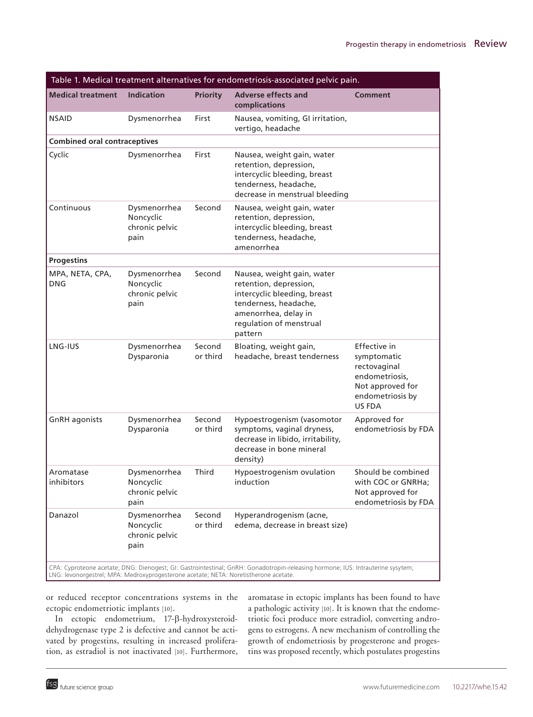| Table 1. Medical treatment alternatives for endometriosis-associated pelvic pain.    |                                                     |                    |                                                                                                                                                                             |                                                                                                                        |  |
|--------------------------------------------------------------------------------------|-----------------------------------------------------|--------------------|-----------------------------------------------------------------------------------------------------------------------------------------------------------------------------|------------------------------------------------------------------------------------------------------------------------|--|
| <b>Medical treatment</b>                                                             | <b>Indication</b>                                   | <b>Priority</b>    | <b>Adverse effects and</b><br>complications                                                                                                                                 | <b>Comment</b>                                                                                                         |  |
| <b>NSAID</b>                                                                         | Dysmenorrhea                                        | First              | Nausea, vomiting, GI irritation,<br>vertigo, headache                                                                                                                       |                                                                                                                        |  |
| <b>Combined oral contraceptives</b>                                                  |                                                     |                    |                                                                                                                                                                             |                                                                                                                        |  |
| Cyclic                                                                               | Dysmenorrhea                                        | First              | Nausea, weight gain, water<br>retention, depression,<br>intercyclic bleeding, breast<br>tenderness, headache,<br>decrease in menstrual bleeding                             |                                                                                                                        |  |
| Continuous                                                                           | Dysmenorrhea<br>Noncyclic<br>chronic pelvic<br>pain | Second             | Nausea, weight gain, water<br>retention, depression,<br>intercyclic bleeding, breast<br>tenderness, headache,<br>amenorrhea                                                 |                                                                                                                        |  |
| <b>Progestins</b>                                                                    |                                                     |                    |                                                                                                                                                                             |                                                                                                                        |  |
| MPA, NETA, CPA,<br><b>DNG</b>                                                        | Dysmenorrhea<br>Noncyclic<br>chronic pelvic<br>pain | Second             | Nausea, weight gain, water<br>retention, depression,<br>intercyclic bleeding, breast<br>tenderness, headache,<br>amenorrhea, delay in<br>regulation of menstrual<br>pattern |                                                                                                                        |  |
| LNG-IUS                                                                              | Dysmenorrhea<br>Dysparonia                          | Second<br>or third | Bloating, weight gain,<br>headache, breast tenderness                                                                                                                       | Effective in<br>symptomatic<br>rectovaginal<br>endometriosis,<br>Not approved for<br>endometriosis by<br><b>US FDA</b> |  |
| <b>GnRH</b> agonists                                                                 | Dysmenorrhea<br>Dysparonia                          | Second<br>or third | Hypoestrogenism (vasomotor<br>symptoms, vaginal dryness,<br>decrease in libido, irritability,<br>decrease in bone mineral<br>density)                                       | Approved for<br>endometriosis by FDA                                                                                   |  |
| Aromatase<br>inhibitors                                                              | Dysmenorrhea<br>Noncyclic<br>chronic pelvic<br>pain | Third              | Hypoestrogenism ovulation<br>induction                                                                                                                                      | Should be combined<br>with COC or GNRHa;<br>Not approved for<br>endometriosis by FDA                                   |  |
| Danazol                                                                              | Dysmenorrhea<br>Noncyclic<br>chronic pelvic<br>pain | Second<br>or third | Hyperandrogenism (acne,<br>edema, decrease in breast size)                                                                                                                  |                                                                                                                        |  |
| LNG: levonorgestrel; MPA: Medroxyprogesterone acetate; NETA: Noretistherone acetate. |                                                     |                    | CPA: Cyproteone acetate; DNG: Dienogest; GI: Gastrointestinal; GnRH: Gonadotropin-releasing hormone; IUS: Intrauterine sysytem;                                             |                                                                                                                        |  |

or reduced receptor concentrations systems in the ectopic endometriotic implants [10].

In ectopic endometrium, 17-β-hydroxysteroiddehydrogenase type 2 is defective and cannot be activated by progestins, resulting in increased proliferation, as estradiol is not inactivated [10]. Furthermore, aromatase in ectopic implants has been found to have a pathologic activity [10]. It is known that the endometriotic foci produce more estradiol, converting androgens to estrogens. A new mechanism of controlling the growth of endometriosis by progesterone and progestins was proposed recently, which postulates progestins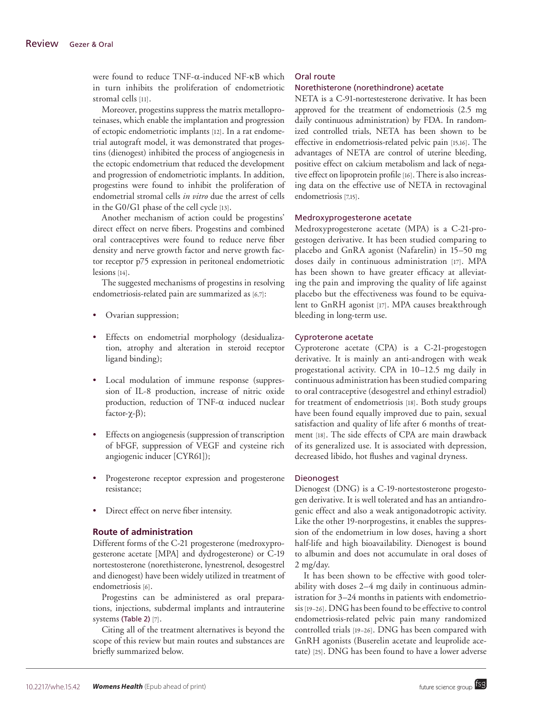were found to reduce TNF-α-induced NF-κB which in turn inhibits the proliferation of endometriotic stromal cells [11].

Moreover, progestins suppress the matrix metalloproteinases, which enable the implantation and progression of ectopic endometriotic implants [12]. In a rat endometrial autograft model, it was demonstrated that progestins (dienogest) inhibited the process of angiogenesis in the ectopic endometrium that reduced the development and progression of endometriotic implants. In addition, progestins were found to inhibit the proliferation of endometrial stromal cells *in vitro* due the arrest of cells in the G0/G1 phase of the cell cycle [13].

Another mechanism of action could be progestins' direct effect on nerve fibers. Progestins and combined oral contraceptives were found to reduce nerve fiber density and nerve growth factor and nerve growth factor receptor p75 expression in peritoneal endometriotic lesions [14].

The suggested mechanisms of progestins in resolving endometriosis-related pain are summarized as [6,7]:

- Ovarian suppression;
- Effects on endometrial morphology (desidualization, atrophy and alteration in steroid receptor ligand binding);
- Local modulation of immune response (suppression of IL-8 production, increase of nitric oxide production, reduction of TNF-α induced nuclear factor-χ-β);
- Effects on angiogenesis (suppression of transcription of bFGF, suppression of VEGF and cysteine rich angiogenic inducer [CYR61]);
- Progesterone receptor expression and progesterone resistance;
- Direct effect on nerve fiber intensity.

#### **Route of administration**

Different forms of the C-21 progesterone (medroxyprogesterone acetate [MPA] and dydrogesterone) or C-19 nortestosterone (norethisterone, lynestrenol, desogestrel and dienogest) have been widely utilized in treatment of endometriosis [6].

Progestins can be administered as oral preparations, injections, subdermal implants and intrauterine systems (Table 2) [7].

Citing all of the treatment alternatives is beyond the scope of this review but main routes and substances are briefly summarized below.

#### Oral route

#### Norethisterone (norethindrone) acetate

NETA is a C-91-nortestesterone derivative. It has been approved for the treatment of endometriosis (2.5 mg daily continuous administration) by FDA. In randomized controlled trials, NETA has been shown to be effective in endometriosis-related pelvic pain [15,16]. The advantages of NETA are control of uterine bleeding, positive effect on calcium metabolism and lack of negative effect on lipoprotein profile [16]. There is also increasing data on the effective use of NETA in rectovaginal endometriosis [7,15].

#### Medroxyprogesterone acetate

Medroxyprogesterone acetate (MPA) is a C-21-progestogen derivative. It has been studied comparing to placebo and GnRA agonist (Nafarelin) in 15–50 mg doses daily in continuous administration [17]. MPA has been shown to have greater efficacy at alleviating the pain and improving the quality of life against placebo but the effectiveness was found to be equivalent to GnRH agonist [17]. MPA causes breakthrough bleeding in long-term use.

#### Cyproterone acetate

Cyproterone acetate (CPA) is a C-21-progestogen derivative. It is mainly an anti-androgen with weak progestational activity. CPA in 10–12.5 mg daily in continuous administration has been studied comparing to oral contraceptive (desogestrel and ethinyl estradiol) for treatment of endometriosis [18]. Both study groups have been found equally improved due to pain, sexual satisfaction and quality of life after 6 months of treatment [18]. The side effects of CPA are main drawback of its generalized use. It is associated with depression, decreased libido, hot flushes and vaginal dryness.

#### Dieonogest

Dienogest (DNG) is a C-19-nortestosterone progestogen derivative. It is well tolerated and has an antiandrogenic effect and also a weak antigonadotropic activity. Like the other 19-norprogestins, it enables the suppression of the endometrium in low doses, having a short half-life and high bioavailability. Dienogest is bound to albumin and does not accumulate in oral doses of 2 mg/day.

It has been shown to be effective with good tolerability with doses 2–4 mg daily in continuous administration for 3–24 months in patients with endometriosis [19–26]. DNG has been found to be effective to control endometriosis-related pelvic pain many randomized controlled trials [19–26]. DNG has been compared with GnRH agonists (Buserelin acetate and leuprolide acetate) [25]. DNG has been found to have a lower adverse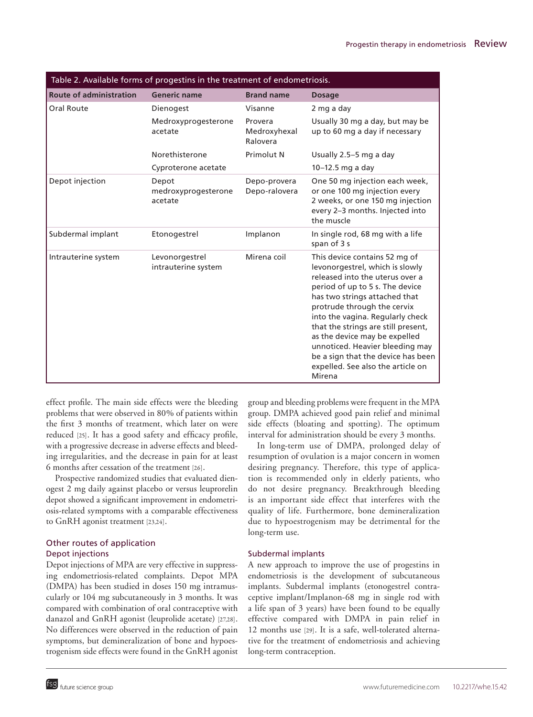| Table 2. Available forms of progestins in the treatment of endometriosis. |                                         |                                     |                                                                                                                                                                                                                                                                                                                                                                                                                                            |  |  |
|---------------------------------------------------------------------------|-----------------------------------------|-------------------------------------|--------------------------------------------------------------------------------------------------------------------------------------------------------------------------------------------------------------------------------------------------------------------------------------------------------------------------------------------------------------------------------------------------------------------------------------------|--|--|
| <b>Route of administration</b>                                            | <b>Generic name</b>                     | <b>Brand name</b>                   | <b>Dosage</b>                                                                                                                                                                                                                                                                                                                                                                                                                              |  |  |
| Oral Route                                                                | Dienogest                               | Visanne                             | 2 mg a day                                                                                                                                                                                                                                                                                                                                                                                                                                 |  |  |
|                                                                           | Medroxyprogesterone<br>acetate          | Provera<br>Medroxyhexal<br>Ralovera | Usually 30 mg a day, but may be<br>up to 60 mg a day if necessary                                                                                                                                                                                                                                                                                                                                                                          |  |  |
|                                                                           | Norethisterone                          | Primolut N                          | Usually 2.5-5 mg a day                                                                                                                                                                                                                                                                                                                                                                                                                     |  |  |
|                                                                           | Cyproterone acetate                     |                                     | $10-12.5$ mg a day                                                                                                                                                                                                                                                                                                                                                                                                                         |  |  |
| Depot injection                                                           | Depot<br>medroxyprogesterone<br>acetate | Depo-provera<br>Depo-ralovera       | One 50 mg injection each week,<br>or one 100 mg injection every<br>2 weeks, or one 150 mg injection<br>every 2-3 months. Injected into<br>the muscle                                                                                                                                                                                                                                                                                       |  |  |
| Subdermal implant                                                         | Etonogestrel                            | Implanon                            | In single rod, 68 mg with a life<br>span of 3 s                                                                                                                                                                                                                                                                                                                                                                                            |  |  |
| Intrauterine system                                                       | Levonorgestrel<br>intrauterine system   | Mirena coil                         | This device contains 52 mg of<br>levonorgestrel, which is slowly<br>released into the uterus over a<br>period of up to 5 s. The device<br>has two strings attached that<br>protrude through the cervix<br>into the vagina. Regularly check<br>that the strings are still present,<br>as the device may be expelled<br>unnoticed. Heavier bleeding may<br>be a sign that the device has been<br>expelled. See also the article on<br>Mirena |  |  |

effect profile. The main side effects were the bleeding problems that were observed in 80% of patients within the first 3 months of treatment, which later on were reduced [25]. It has a good safety and efficacy profile, with a progressive decrease in adverse effects and bleeding irregularities, and the decrease in pain for at least 6 months after cessation of the treatment [26].

Prospective randomized studies that evaluated dienogest 2 mg daily against placebo or versus leuprorelin depot showed a significant improvement in endometriosis-related symptoms with a comparable effectiveness to GnRH agonist treatment [23,24].

# Other routes of application Depot injections

Depot injections of MPA are very effective in suppressing endometriosis-related complaints. Depot MPA (DMPA) has been studied in doses 150 mg intramuscularly or 104 mg subcutaneously in 3 months. It was compared with combination of oral contraceptive with danazol and GnRH agonist (leuprolide acetate) [27,28]. No differences were observed in the reduction of pain symptoms, but demineralization of bone and hypoestrogenism side effects were found in the GnRH agonist

group and bleeding problems were frequent in the MPA group. DMPA achieved good pain relief and minimal side effects (bloating and spotting). The optimum interval for administration should be every 3 months.

In long-term use of DMPA, prolonged delay of resumption of ovulation is a major concern in women desiring pregnancy. Therefore, this type of application is recommended only in elderly patients, who do not desire pregnancy. Breakthrough bleeding is an important side effect that interferes with the quality of life. Furthermore, bone demineralization due to hypoestrogenism may be detrimental for the long-term use.

# Subdermal implants

A new approach to improve the use of progestins in endometriosis is the development of subcutaneous implants. Subdermal implants (etonogestrel contraceptive implant/Implanon-68 mg in single rod with a life span of 3 years) have been found to be equally effective compared with DMPA in pain relief in 12 months use [29]. It is a safe, well-tolerated alternative for the treatment of endometriosis and achieving long-term contraception.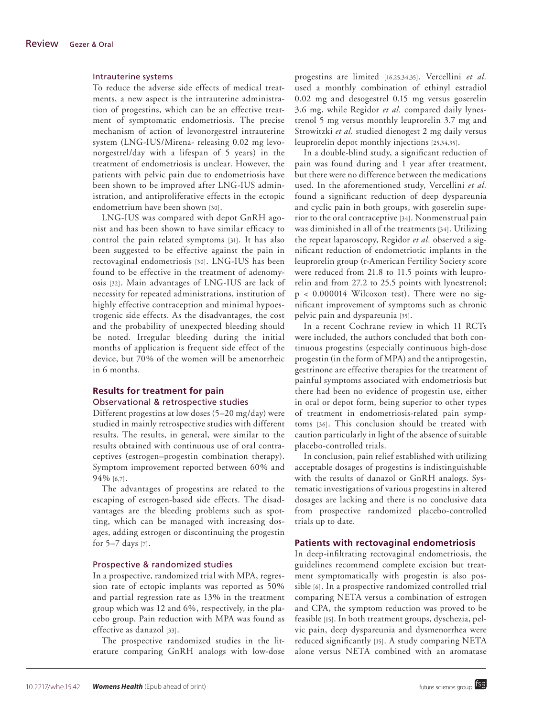#### Intrauterine systems

To reduce the adverse side effects of medical treatments, a new aspect is the intrauterine administration of progestins, which can be an effective treatment of symptomatic endometriosis. The precise mechanism of action of levonorgestrel intrauterine system (LNG-IUS/Mirena- releasing 0.02 mg levonorgestrel/day with a lifespan of 5 years) in the treatment of endometriosis is unclear. However, the patients with pelvic pain due to endometriosis have been shown to be improved after LNG-IUS administration, and antiproliferative effects in the ectopic endometrium have been shown [30].

LNG-IUS was compared with depot GnRH agonist and has been shown to have similar efficacy to control the pain related symptoms [31]. It has also been suggested to be effective against the pain in rectovaginal endometriosis [30]. LNG-IUS has been found to be effective in the treatment of adenomyosis [32]. Main advantages of LNG-IUS are lack of necessity for repeated administrations, institution of highly effective contraception and minimal hypoestrogenic side effects. As the disadvantages, the cost and the probability of unexpected bleeding should be noted. Irregular bleeding during the initial months of application is frequent side effect of the device, but 70% of the women will be amenorrheic in 6 months.

#### **Results for treatment for pain** Observational & retrospective studies

Different progestins at low doses (5–20 mg/day) were studied in mainly retrospective studies with different results. The results, in general, were similar to the results obtained with continuous use of oral contraceptives (estrogen–progestin combination therapy). Symptom improvement reported between 60% and 94% [6,7].

The advantages of progestins are related to the escaping of estrogen-based side effects. The disadvantages are the bleeding problems such as spotting, which can be managed with increasing dosages, adding estrogen or discontinuing the progestin for 5–7 days [7].

### Prospective & randomized studies

In a prospective, randomized trial with MPA, regression rate of ectopic implants was reported as 50% and partial regression rate as 13% in the treatment group which was 12 and 6%, respectively, in the placebo group. Pain reduction with MPA was found as effective as danazol [33].

The prospective randomized studies in the literature comparing GnRH analogs with low-dose progestins are limited [16,25,34,35]. Vercellini *et al.* used a monthly combination of ethinyl estradiol 0.02 mg and desogestrel 0.15 mg versus goserelin 3.6 mg, while Regidor *et al.* compared daily lynestrenol 5 mg versus monthly leuprorelin 3.7 mg and Strowitzki *et al.* studied dienogest 2 mg daily versus leuprorelin depot monthly injections [25,34,35].

In a double-blind study, a significant reduction of pain was found during and 1 year after treatment, but there were no difference between the medications used. In the aforementioned study, Vercellini *et al.* found a significant reduction of deep dyspareunia and cyclic pain in both groups, with goserelin superior to the oral contraceptive [34]. Nonmenstrual pain was diminished in all of the treatments [34]. Utilizing the repeat laparoscopy, Regidor *et al.* observed a significant reduction of endometriotic implants in the leuprorelin group (r-American Fertility Society score were reduced from 21.8 to 11.5 points with leuprorelin and from 27.2 to 25.5 points with lynestrenol; p < 0.000014 Wilcoxon test). There were no significant improvement of symptoms such as chronic pelvic pain and dyspareunia [35].

In a recent Cochrane review in which 11 RCTs were included, the authors concluded that both continuous progestins (especially continuous high-dose progestin (in the form of MPA) and the antiprogestin, gestrinone are effective therapies for the treatment of painful symptoms associated with endometriosis but there had been no evidence of progestin use, either in oral or depot form, being superior to other types of treatment in endometriosis-related pain symptoms [36]. This conclusion should be treated with caution particularly in light of the absence of suitable placebo-controlled trials.

In conclusion, pain relief established with utilizing acceptable dosages of progestins is indistinguishable with the results of danazol or GnRH analogs. Systematic investigations of various progestins in altered dosages are lacking and there is no conclusive data from prospective randomized placebo-controlled trials up to date.

#### **Patients with rectovaginal endometriosis**

In deep-infiltrating rectovaginal endometriosis, the guidelines recommend complete excision but treatment symptomatically with progestin is also possible [6]. In a prospective randomized controlled trial comparing NETA versus a combination of estrogen and CPA, the symptom reduction was proved to be feasible [15]. In both treatment groups, dyschezia, pelvic pain, deep dyspareunia and dysmenorrhea were reduced significantly [15]. A study comparing NETA alone versus NETA combined with an aromatase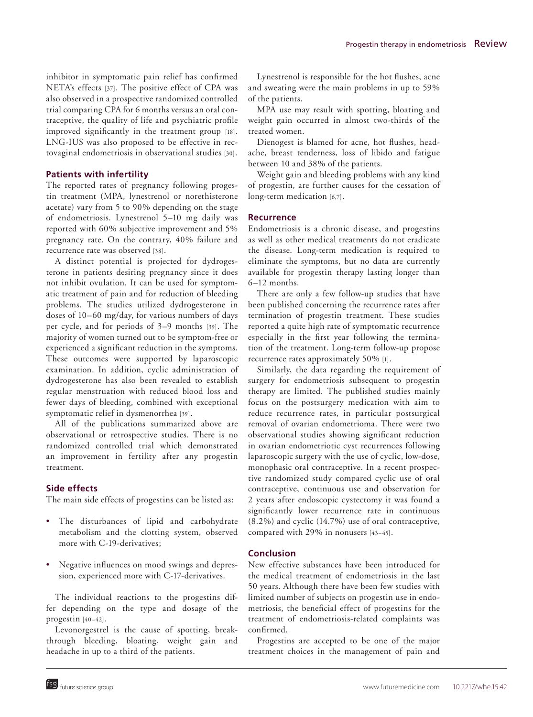inhibitor in symptomatic pain relief has confirmed NETA's effects [37]. The positive effect of CPA was also observed in a prospective randomized controlled trial comparing CPA for 6 months versus an oral contraceptive, the quality of life and psychiatric profile improved significantly in the treatment group [18]. LNG-IUS was also proposed to be effective in rectovaginal endometriosis in observational studies [30].

#### **Patients with infertility**

The reported rates of pregnancy following progestin treatment (MPA, lynestrenol or norethisterone acetate) vary from 5 to 90% depending on the stage of endometriosis. Lynestrenol 5–10 mg daily was reported with 60% subjective improvement and 5% pregnancy rate. On the contrary, 40% failure and recurrence rate was observed [38].

A distinct potential is projected for dydrogesterone in patients desiring pregnancy since it does not inhibit ovulation. It can be used for symptomatic treatment of pain and for reduction of bleeding problems. The studies utilized dydrogesterone in doses of 10–60 mg/day, for various numbers of days per cycle, and for periods of 3–9 months [39]. The majority of women turned out to be symptom-free or experienced a significant reduction in the symptoms. These outcomes were supported by laparoscopic examination. In addition, cyclic administration of dydrogesterone has also been revealed to establish regular menstruation with reduced blood loss and fewer days of bleeding, combined with exceptional symptomatic relief in dysmenorrhea [39].

All of the publications summarized above are observational or retrospective studies. There is no randomized controlled trial which demonstrated an improvement in fertility after any progestin treatment.

#### **Side effects**

The main side effects of progestins can be listed as:

- The disturbances of lipid and carbohydrate metabolism and the clotting system, observed more with C-19-derivatives;
- • Negative influences on mood swings and depression, experienced more with C-17-derivatives.

The individual reactions to the progestins differ depending on the type and dosage of the progestin [40–42].

Levonorgestrel is the cause of spotting, breakthrough bleeding, bloating, weight gain and headache in up to a third of the patients.

Lynestrenol is responsible for the hot flushes, acne and sweating were the main problems in up to 59% of the patients.

MPA use may result with spotting, bloating and weight gain occurred in almost two-thirds of the treated women.

Dienogest is blamed for acne, hot flushes, headache, breast tenderness, loss of libido and fatigue between 10 and 38% of the patients.

Weight gain and bleeding problems with any kind of progestin, are further causes for the cessation of long-term medication [6,7].

## **Recurrence**

Endometriosis is a chronic disease, and progestins as well as other medical treatments do not eradicate the disease. Long-term medication is required to eliminate the symptoms, but no data are currently available for progestin therapy lasting longer than 6–12 months.

There are only a few follow-up studies that have been published concerning the recurrence rates after termination of progestin treatment. These studies reported a quite high rate of symptomatic recurrence especially in the first year following the termination of the treatment. Long-term follow-up propose recurrence rates approximately 50% [1].

Similarly, the data regarding the requirement of surgery for endometriosis subsequent to progestin therapy are limited. The published studies mainly focus on the postsurgery medication with aim to reduce recurrence rates, in particular postsurgical removal of ovarian endometrioma. There were two observational studies showing significant reduction in ovarian endometriotic cyst recurrences following laparoscopic surgery with the use of cyclic, low-dose, monophasic oral contraceptive. In a recent prospective randomized study compared cyclic use of oral contraceptive, continuous use and observation for 2 years after endoscopic cystectomy it was found a significantly lower recurrence rate in continuous (8.2%) and cyclic (14.7%) use of oral contraceptive, compared with 29% in nonusers [43–45].

## **Conclusion**

New effective substances have been introduced for the medical treatment of endometriosis in the last 50 years. Although there have been few studies with limited number of subjects on progestin use in endometriosis, the beneficial effect of progestins for the treatment of endometriosis-related complaints was confirmed.

Progestins are accepted to be one of the major treatment choices in the management of pain and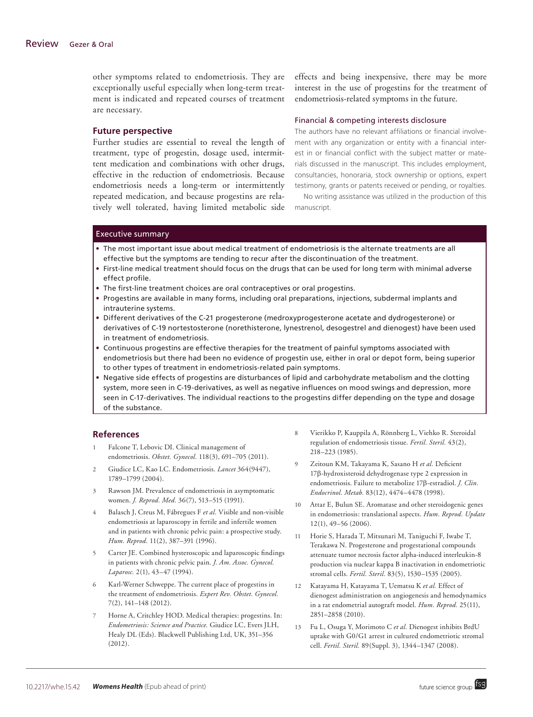other symptoms related to endometriosis. They are exceptionally useful especially when long-term treatment is indicated and repeated courses of treatment are necessary.

#### **Future perspective**

Further studies are essential to reveal the length of treatment, type of progestin, dosage used, intermittent medication and combinations with other drugs, effective in the reduction of endometriosis. Because endometriosis needs a long-term or intermittently repeated medication, and because progestins are relatively well tolerated, having limited metabolic side effects and being inexpensive, there may be more interest in the use of progestins for the treatment of endometriosis-related symptoms in the future.

#### Financial & competing interests disclosure

The authors have no relevant affiliations or financial involvement with any organization or entity with a financial interest in or financial conflict with the subject matter or materials discussed in the manuscript. This includes employment, consultancies, honoraria, stock ownership or options, expert testimony, grants or patents received or pending, or royalties.

No writing assistance was utilized in the production of this manuscript.

#### Executive summary

- • The most important issue about medical treatment of endometriosis is the alternate treatments are all effective but the symptoms are tending to recur after the discontinuation of the treatment.
- • First-line medical treatment should focus on the drugs that can be used for long term with minimal adverse effect profile.
- The first-line treatment choices are oral contraceptives or oral progestins.
- • Progestins are available in many forms, including oral preparations, injections, subdermal implants and intrauterine systems.
- • Different derivatives of the C-21 progesterone (medroxyprogesterone acetate and dydrogesterone) or derivatives of C-19 nortestosterone (norethisterone, lynestrenol, desogestrel and dienogest) have been used in treatment of endometriosis.
- • Continuous progestins are effective therapies for the treatment of painful symptoms associated with endometriosis but there had been no evidence of progestin use, either in oral or depot form, being superior to other types of treatment in endometriosis-related pain symptoms.
- • Negative side effects of progestins are disturbances of lipid and carbohydrate metabolism and the clotting system, more seen in C-19-derivatives, as well as negative influences on mood swings and depression, more seen in C-17-derivatives. The individual reactions to the progestins differ depending on the type and dosage of the substance.

#### **References**

- 1 Falcone T, Lebovic DI. Clinical management of endometriosis. *Obstet. Gynecol.* 118(3), 691–705 (2011).
- 2 Giudice LC, Kao LC. Endometriosis. *Lancet* 364(9447), 1789–1799 (2004).
- 3 Rawson JM. Prevalence of endometriosis in asymptomatic women. *J. Reprod. Med.* 36(7), 513–515 (1991).
- 4 Balasch J, Creus M, Fábregues F *et al.* Visible and non-visible endometriosis at laparoscopy in fertile and infertile women and in patients with chronic pelvic pain: a prospective study. *Hum. Reprod.* 11(2), 387–391 (1996).
- 5 Carter JE. Combined hysteroscopic and laparoscopic findings in patients with chronic pelvic pain. *J. Am. Assoc. Gynecol. Laparosc.* 2(1), 43–47 (1994).
- 6 Karl-Werner Schweppe. The current place of progestins in the treatment of endometriosis. *Expert Rev. Obstet. Gynecol.* 7(2), 141–148 (2012).
- Horne A, Critchley HOD. Medical therapies: progestins. In: *Endometriosis: Science and Practice.* Giudice LC, Evers JLH, Healy DL (Eds). Blackwell Publishing Ltd, UK, 351–356 (2012).
- 8 Vierikko P, Kauppila A, Rönnberg L, Viehko R. Steroidal regulation of endometriosis tissue. *Fertil. Steril.* 43(2), 218–223 (1985).
- 9 Zeitoun KM, Takayama K, Sasano H *et al.* Deficient 17β-hydroxisteroid dehydrogenase type 2 expression in endometriosis. Failure to metabolize 17β-estradiol. *J. Clin. Endocrinol. Metab.* 83(12), 4474–4478 (1998).
- 10 Attar E, Bulun SE. Aromatase and other steroidogenic genes in endometriosis: translational aspects. *Hum. Reprod. Update* 12(1), 49–56 (2006).
- 11 Horie S, Harada T, Mitsunari M, Taniguchi F, Iwabe T, Terakawa N. Progesterone and progestational compounds attenuate tumor necrosis factor alpha-induced interleukin-8 production via nuclear kappa B inactivation in endometriotic stromal cells. *Fertil. Steril.* 83(5), 1530–1535 (2005).
- 12 Katayama H, Katayama T, Uematsu K *et al.* Effect of dienogest administration on angiogenesis and hemodynamics in a rat endometrial autograft model. *Hum. Reprod.* 25(11), 2851–2858 (2010).
- 13 Fu L, Osuga Y, Morimoto C *et al.* Dienogest inhibits BrdU uptake with G0/G1 arrest in cultured endometriotic stromal cell. *Fertil. Steril.* 89(Suppl. 3), 1344–1347 (2008).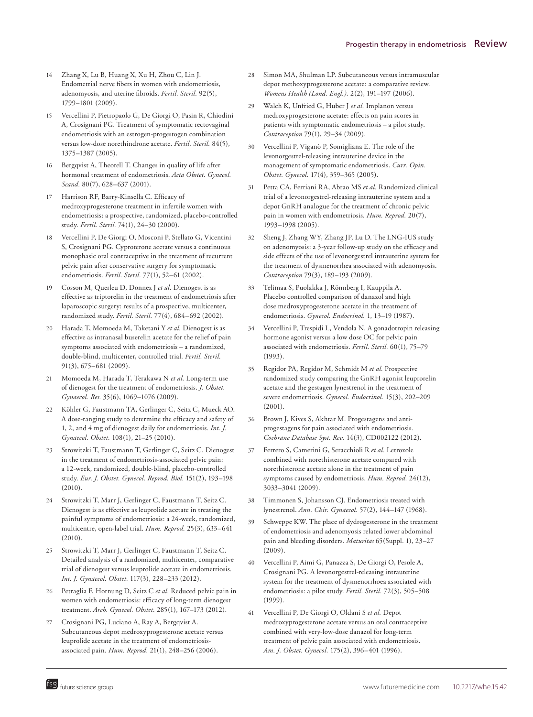- 14 Zhang X, Lu B, Huang X, Xu H, Zhou C, Lin J. Endometrial nerve fibers in women with endometriosis, adenomyosis, and uterine fibroids. *Fertil. Steril.* 92(5), 1799–1801 (2009).
- 15 Vercellini P, Pietropaolo G, De Giorgi O, Pasin R, Chiodini A, Crosignani PG. Treatment of symptomatic rectovaginal endometriosis with an estrogen-progestogen combination versus low-dose norethindrone acetate. *Fertil. Steril.* 84(5), 1375–1387 (2005).
- 16 Bergqvist A, Theorell T. Changes in quality of life after hormonal treatment of endometriosis. *Acta Obstet. Gynecol. Scand.* 80(7), 628–637 (2001).
- 17 Harrison RF, Barry-Kinsella C. Efficacy of medroxyprogesterone treatment in infertile women with endometriosis: a prospective, randomized, placebo-controlled study. *Fertil. Steril.* 74(1), 24–30 (2000).
- 18 Vercellini P, De Giorgi O, Mosconi P, Stellato G, Vicentini S, Crosignani PG. Cyproterone acetate versus a continuous monophasic oral contraceptive in the treatment of recurrent pelvic pain after conservative surgery for symptomatic endometriosis. *Fertil. Steril.* 77(1), 52–61 (2002).
- 19 Cosson M, Querleu D, Donnez J *et al.* Dienogest is as effective as triptorelin in the treatment of endometriosis after laparoscopic surgery: results of a prospective, multicenter, randomized study. *Fertil. Steril.* 77(4), 684–692 (2002).
- 20 Harada T, Momoeda M, Taketani Y *et al.* Dienogest is as effective as intranasal buserelin acetate for the relief of pain symptoms associated with endometriosis – a randomized, double-blind, multicenter, controlled trial. *Fertil. Steril.* 91(3), 675–681 (2009).
- 21 Momoeda M, Harada T, Terakawa N *et al.* Long-term use of dienogest for the treatment of endometriosis. *J. Obstet. Gynaecol. Res.* 35(6), 1069–1076 (2009).
- 22 Köhler G, Faustmann TA, Gerlinger C, Seitz C, Mueck AO. A dose-ranging study to determine the efficacy and safety of 1, 2, and 4 mg of dienogest daily for endometriosis. *Int. J. Gynaecol. Obstet.* 108(1), 21–25 (2010).
- 23 Strowitzki T, Faustmann T, Gerlinger C, Seitz C. Dienogest in the treatment of endometriosis-associated pelvic pain: a 12-week, randomized, double-blind, placebo-controlled study. *Eur. J. Obstet. Gynecol. Reprod. Biol.* 151(2), 193–198  $(2010)$
- 24 Strowitzki T, Marr J, Gerlinger C, Faustmann T, Seitz C. Dienogest is as effective as leuprolide acetate in treating the painful symptoms of endometriosis: a 24-week, randomized, multicentre, open-label trial. *Hum. Reprod.* 25(3), 633–641  $(2010).$
- 25 Strowitzki T, Marr J, Gerlinger C, Faustmann T, Seitz C. Detailed analysis of a randomized, multicenter, comparative trial of dienogest versus leuprolide acetate in endometriosis. *Int. J. Gynaecol. Obstet.* 117(3), 228–233 (2012).
- 26 Petraglia F, Hornung D, Seitz C *et al.* Reduced pelvic pain in women with endometriosis: efficacy of long-term dienogest treatment. *Arch. Gynecol. Obstet.* 285(1), 167–173 (2012).
- 27 Crosignani PG, Luciano A, Ray A, Bergqvist A. Subcutaneous depot medroxyprogesterone acetate versus leuprolide acetate in the treatment of endometriosisassociated pain. *Hum. Reprod.* 21(1), 248–256 (2006).
- 28 Simon MA, Shulman LP. Subcutaneous versus intramuscular depot methoxyprogesterone acetate: a comparative review. *Womens Health (Lond. Engl.).* 2(2), 191–197 (2006).
- 29 Walch K, Unfried G, Huber J *et al.* Implanon versus medroxyprogesterone acetate: effects on pain scores in patients with symptomatic endometriosis – a pilot study. *Contraception* 79(1), 29–34 (2009).
- 30 Vercellini P, Viganò P, Somigliana E. The role of the levonorgestrel-releasing intrauterine device in the management of symptomatic endometriosis. *Curr. Opin. Obstet. Gynecol.* 17(4), 359–365 (2005).
- 31 Petta CA, Ferriani RA, Abrao MS *et al.* Randomized clinical trial of a levonorgestrel-releasing intrauterine system and a depot GnRH analogue for the treatment of chronic pelvic pain in women with endometriosis. *Hum. Reprod.* 20(7), 1993–1998 (2005).
- 32 Sheng J, Zhang WY, Zhang JP, Lu D. The LNG-IUS study on adenomyosis: a 3-year follow-up study on the efficacy and side effects of the use of levonorgestrel intrauterine system for the treatment of dysmenorrhea associated with adenomyosis. *Contraception* 79(3), 189–193 (2009).
- 33 Telimaa S, Puolakka J, Rönnberg I, Kauppila A. Placebo controlled comparison of danazol and high dose medroxyprogesterone acetate in the treatment of endometriosis. *Gynecol. Endocrinol.* 1, 13–19 (1987).
- 34 Vercellini P, Trespidi L, Vendola N. A gonadotropin releasing hormone agonist versus a low dose OC for pelvic pain associated with endometriosis. *Fertil. Steril.* 60(1), 75–79 (1993).
- 35 Regidor PA, Regidor M, Schmidt M *et al.* Prospective randomized study comparing the GnRH agonist leuprorelin acetate and the gestagen lynestrenol in the treatment of severe endometriosis. *Gynecol. Endocrinol.* 15(3), 202–209 (2001).
- 36 Brown J, Kives S, Akhtar M. Progestagens and antiprogestagens for pain associated with endometriosis. *Cochrane Database Syst. Rev.* 14(3), CD002122 (2012).
- 37 Ferrero S, Camerini G, Seracchioli R *et al.* Letrozole combined with norethisterone acetate compared with norethisterone acetate alone in the treatment of pain symptoms caused by endometriosis. *Hum. Reprod.* 24(12), 3033–3041 (2009).
- 38 Timmonen S, Johansson CJ. Endometriosis treated with lynestrenol. *Ann. Chir. Gynaecol.* 57(2), 144–147 (1968).
- 39 Schweppe KW. The place of dydrogesterone in the treatment of endometriosis and adenomyosis related lower abdominal pain and bleeding disorders. *Maturitas* 65(Suppl. 1), 23–27 (2009).
- 40 Vercellini P, Aimi G, Panazza S, De Giorgi O, Pesole A, Crosignani PG. A levonorgestrel-releasing intrauterine system for the treatment of dysmenorrhoea associated with endometriosis: a pilot study. *Fertil. Steril.* 72(3), 505–508 (1999).
- 41 Vercellini P, De Giorgi O, Oldani S *et al.* Depot medroxyprogesterone acetate versus an oral contraceptive combined with very-low-dose danazol for long-term treatment of pelvic pain associated with endometriosis. *Am. J. Obstet. Gynecol.* 175(2), 396–401 (1996).